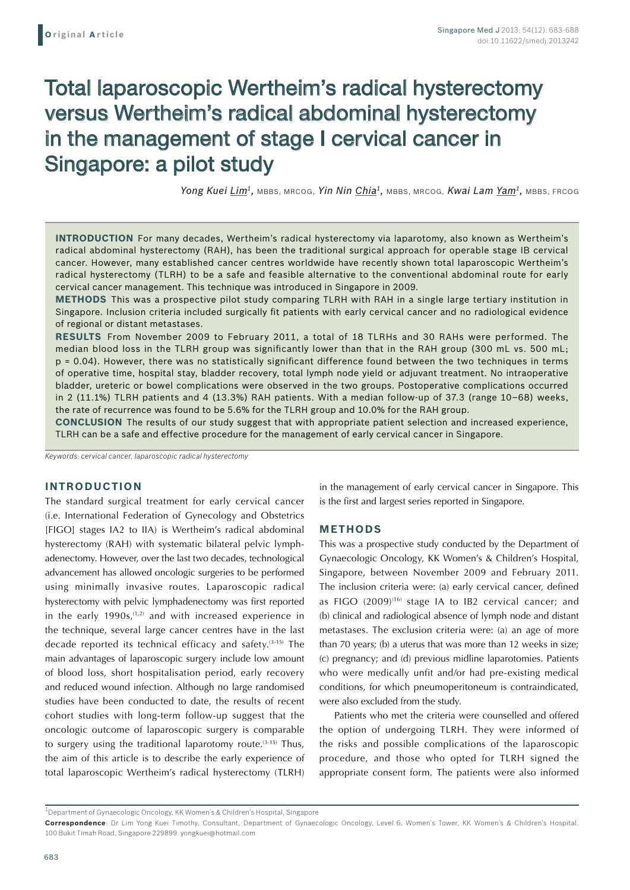# Total laparoscopic Wertheim's radical hysterectomy versus Wertheim's radical abdominal hysterectomy in the management of stage I cervical cancer in Singapore: a pilot study

*Yong Kuei Lim1,* MBBS, MRCOG, *Yin Nin Chia1,* MBBS, MRCOG, *Kwai Lam Yam1,* MBBS, FRCOG

**Introduction** For many decades, Wertheim's radical hysterectomy via laparotomy, also known as Wertheim's radical abdominal hysterectomy (RAH), has been the traditional surgical approach for operable stage IB cervical cancer. However, many established cancer centres worldwide have recently shown total laparoscopic Wertheim's radical hysterectomy (TLRH) to be a safe and feasible alternative to the conventional abdominal route for early cervical cancer management. This technique was introduced in Singapore in 2009.

**Methods** This was a prospective pilot study comparing TLRH with RAH in a single large tertiary institution in Singapore. Inclusion criteria included surgically fit patients with early cervical cancer and no radiological evidence of regional or distant metastases.

**Results** From November 2009 to February 2011, a total of 18 TLRHs and 30 RAHs were performed. The median blood loss in the TLRH group was significantly lower than that in the RAH group (300 mL vs. 500 mL; p = 0.04). However, there was no statistically significant difference found between the two techniques in terms of operative time, hospital stay, bladder recovery, total lymph node yield or adjuvant treatment. No intraoperative bladder, ureteric or bowel complications were observed in the two groups. Postoperative complications occurred in 2 (11.1%) TLRH patients and 4 (13.3%) RAH patients. With a median follow-up of 37.3 (range 10–68) weeks, the rate of recurrence was found to be 5.6% for the TLRH group and 10.0% for the RAH group.

**Conclusion** The results of our study suggest that with appropriate patient selection and increased experience, TLRH can be a safe and effective procedure for the management of early cervical cancer in Singapore.

*Keywords: cervical cancer, laparoscopic radical hysterectomy*

# **INTRODUCTION**

The standard surgical treatment for early cervical cancer (i.e. International Federation of Gynecology and Obstetrics [FIGO] stages IA2 to IIA) is Wertheim's radical abdominal hysterectomy (RAH) with systematic bilateral pelvic lymphadenectomy. However, over the last two decades, technological advancement has allowed oncologic surgeries to be performed using minimally invasive routes. Laparoscopic radical hysterectomy with pelvic lymphadenectomy was first reported in the early  $1990s$ ,  $(1,2)$  and with increased experience in the technique, several large cancer centres have in the last decade reported its technical efficacy and safety.(3-15) The main advantages of laparoscopic surgery include low amount of blood loss, short hospitalisation period, early recovery and reduced wound infection. Although no large randomised studies have been conducted to date, the results of recent cohort studies with long-term follow-up suggest that the oncologic outcome of laparoscopic surgery is comparable to surgery using the traditional laparotomy route.<sup>(3-15)</sup> Thus, the aim of this article is to describe the early experience of total laparoscopic Wertheim's radical hysterectomy (TLRH)

in the management of early cervical cancer in Singapore. This is the first and largest series reported in Singapore.

#### **METHODS**

This was a prospective study conducted by the Department of Gynaecologic Oncology, KK Women's & Children's Hospital, Singapore, between November 2009 and February 2011. The inclusion criteria were: (a) early cervical cancer, defined as FIGO (2009)<sup>(16)</sup> stage IA to IB2 cervical cancer; and (b) clinical and radiological absence of lymph node and distant metastases. The exclusion criteria were: (a) an age of more than 70 years; (b) a uterus that was more than 12 weeks in size; (c) pregnancy; and (d) previous midline laparotomies. Patients who were medically unfit and/or had pre-existing medical conditions, for which pneumoperitoneum is contraindicated, were also excluded from the study.

Patients who met the criteria were counselled and offered the option of undergoing TLRH. They were informed of the risks and possible complications of the laparoscopic procedure, and those who opted for TLRH signed the appropriate consent form. The patients were also informed

<sup>1</sup>Department of Gynaecologic Oncology, KK Women's & Children's Hospital, Singapore

**Correspondence**: Dr Lim Yong Kuei Timothy, Consultant, Department of Gynaecologic Oncology, Level 6, Women's Tower, KK Women's & Children's Hospital, 100 Bukit Timah Road, Singapore 229899. yongkuei@hotmail.com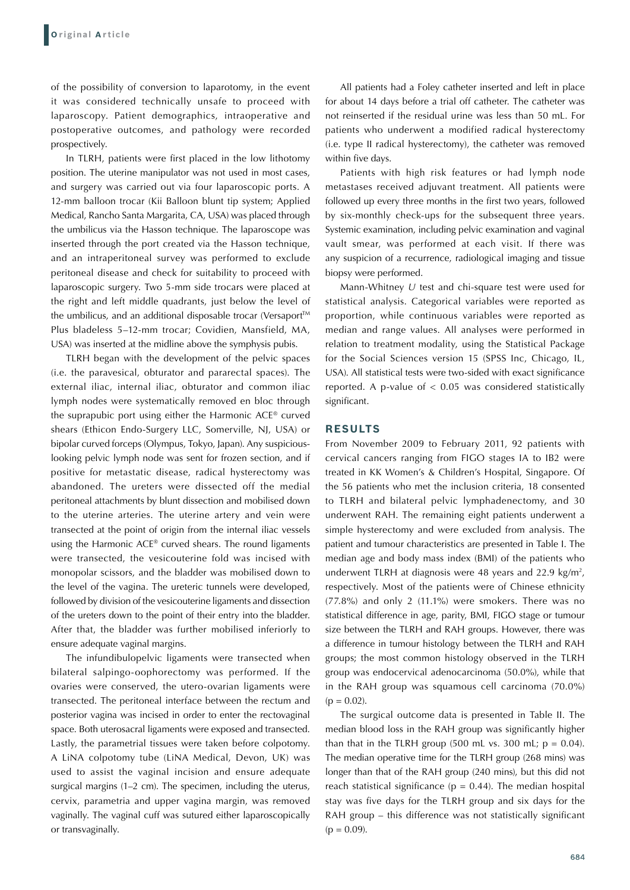of the possibility of conversion to laparotomy, in the event it was considered technically unsafe to proceed with laparoscopy. Patient demographics, intraoperative and postoperative outcomes, and pathology were recorded prospectively.

In TLRH, patients were first placed in the low lithotomy position. The uterine manipulator was not used in most cases, and surgery was carried out via four laparoscopic ports. A 12-mm balloon trocar (Kii Balloon blunt tip system; Applied Medical, Rancho Santa Margarita, CA, USA) was placed through the umbilicus via the Hasson technique. The laparoscope was inserted through the port created via the Hasson technique, and an intraperitoneal survey was performed to exclude peritoneal disease and check for suitability to proceed with laparoscopic surgery. Two 5-mm side trocars were placed at the right and left middle quadrants, just below the level of the umbilicus, and an additional disposable trocar (Versaport™ Plus bladeless 5–12-mm trocar; Covidien, Mansfield, MA, USA) was inserted at the midline above the symphysis pubis.

TLRH began with the development of the pelvic spaces (i.e. the paravesical, obturator and pararectal spaces). The external iliac, internal iliac, obturator and common iliac lymph nodes were systematically removed en bloc through the suprapubic port using either the Harmonic ACE® curved shears (Ethicon Endo-Surgery LLC, Somerville, NJ, USA) or bipolar curved forceps (Olympus, Tokyo, Japan). Any suspiciouslooking pelvic lymph node was sent for frozen section, and if positive for metastatic disease, radical hysterectomy was abandoned. The ureters were dissected off the medial peritoneal attachments by blunt dissection and mobilised down to the uterine arteries. The uterine artery and vein were transected at the point of origin from the internal iliac vessels using the Harmonic ACE® curved shears. The round ligaments were transected, the vesicouterine fold was incised with monopolar scissors, and the bladder was mobilised down to the level of the vagina. The ureteric tunnels were developed, followed by division of the vesicouterine ligaments and dissection of the ureters down to the point of their entry into the bladder. After that, the bladder was further mobilised inferiorly to ensure adequate vaginal margins.

The infundibulopelvic ligaments were transected when bilateral salpingo-oophorectomy was performed. If the ovaries were conserved, the utero-ovarian ligaments were transected. The peritoneal interface between the rectum and posterior vagina was incised in order to enter the rectovaginal space. Both uterosacral ligaments were exposed and transected. Lastly, the parametrial tissues were taken before colpotomy. A LiNA colpotomy tube (LiNA Medical, Devon, UK) was used to assist the vaginal incision and ensure adequate surgical margins (1–2 cm). The specimen, including the uterus, cervix, parametria and upper vagina margin, was removed vaginally. The vaginal cuff was sutured either laparoscopically or transvaginally.

All patients had a Foley catheter inserted and left in place for about 14 days before a trial off catheter. The catheter was not reinserted if the residual urine was less than 50 mL. For patients who underwent a modified radical hysterectomy (i.e. type II radical hysterectomy), the catheter was removed within five days.

Patients with high risk features or had lymph node metastases received adjuvant treatment. All patients were followed up every three months in the first two years, followed by six-monthly check-ups for the subsequent three years. Systemic examination, including pelvic examination and vaginal vault smear, was performed at each visit. If there was any suspicion of a recurrence, radiological imaging and tissue biopsy were performed.

Mann-Whitney *U* test and chi-square test were used for statistical analysis. Categorical variables were reported as proportion, while continuous variables were reported as median and range values. All analyses were performed in relation to treatment modality, using the Statistical Package for the Social Sciences version 15 (SPSS Inc, Chicago, IL, USA). All statistical tests were two-sided with exact significance reported. A p-value of  $< 0.05$  was considered statistically significant.

#### **RESULTS**

From November 2009 to February 2011, 92 patients with cervical cancers ranging from FIGO stages IA to IB2 were treated in KK Women's & Children's Hospital, Singapore. Of the 56 patients who met the inclusion criteria, 18 consented to TLRH and bilateral pelvic lymphadenectomy, and 30 underwent RAH. The remaining eight patients underwent a simple hysterectomy and were excluded from analysis. The patient and tumour characteristics are presented in Table I. The median age and body mass index (BMI) of the patients who underwent TLRH at diagnosis were 48 years and 22.9 kg/m<sup>2</sup>, respectively. Most of the patients were of Chinese ethnicity (77.8%) and only 2 (11.1%) were smokers. There was no statistical difference in age, parity, BMI, FIGO stage or tumour size between the TLRH and RAH groups. However, there was a difference in tumour histology between the TLRH and RAH groups; the most common histology observed in the TLRH group was endocervical adenocarcinoma (50.0%), while that in the RAH group was squamous cell carcinoma (70.0%)  $(p = 0.02)$ .

The surgical outcome data is presented in Table II. The median blood loss in the RAH group was significantly higher than that in the TLRH group (500 mL vs. 300 mL;  $p = 0.04$ ). The median operative time for the TLRH group (268 mins) was longer than that of the RAH group (240 mins), but this did not reach statistical significance ( $p = 0.44$ ). The median hospital stay was five days for the TLRH group and six days for the RAH group – this difference was not statistically significant  $(p = 0.09)$ .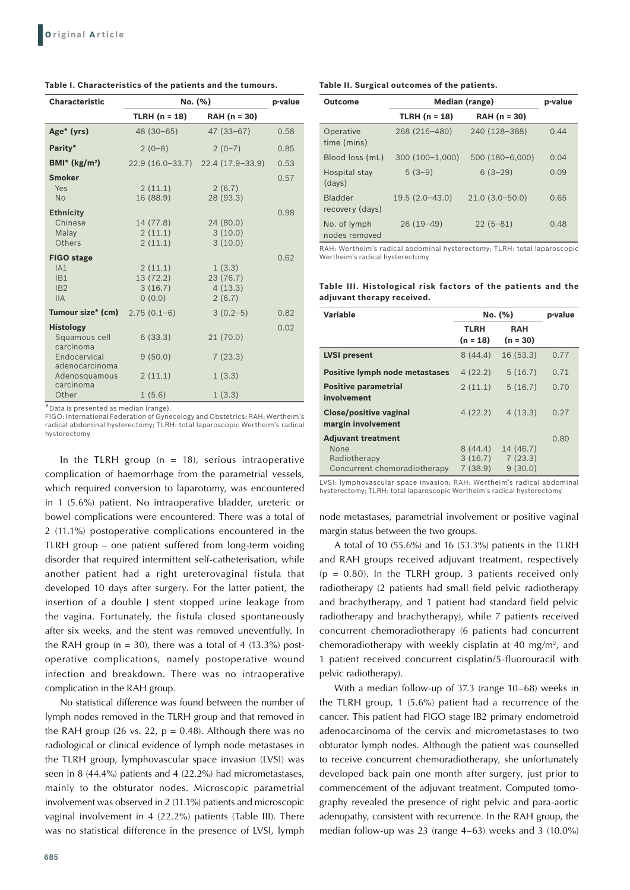| <b>Characteristic</b>                                                                                                   | No. (%)                                  | p-value                                 |      |
|-------------------------------------------------------------------------------------------------------------------------|------------------------------------------|-----------------------------------------|------|
|                                                                                                                         | $TLRH (n = 18)$                          | RAH (n = 30)                            |      |
| Age* (yrs)                                                                                                              | 48 (30-65)                               | $47(33-67)$                             | 0.58 |
| Parity*                                                                                                                 | $2(0-8)$                                 | $2(0-7)$                                | 0.85 |
| $BMI^*$ (kg/m <sup>2</sup> )                                                                                            |                                          | 22.9 (16.0-33.7) 22.4 (17.9-33.9)       | 0.53 |
| <b>Smoker</b><br>Yes<br><b>No</b>                                                                                       | 2(11.1)<br>16 (88.9)                     | 2(6.7)<br>28 (93.3)                     | 0.57 |
| <b>Ethnicity</b><br>Chinese<br>Malay<br>Others                                                                          | 14 (77.8)<br>2(11.1)<br>2(11.1)          | 24(80.0)<br>3(10.0)<br>3(10.0)          | 0.98 |
| <b>FIGO stage</b><br>IA1<br>IB1<br>IB2<br>IIA                                                                           | 2(11.1)<br>13(72.2)<br>3(16.7)<br>0(0.0) | 1(3.3)<br>23(76.7)<br>4(13.3)<br>2(6.7) | 0.62 |
| Tumour size* (cm)                                                                                                       | $2.75(0.1-6)$                            | $3(0.2-5)$                              | 0.82 |
| <b>Histology</b><br>Squamous cell<br>carcinoma<br>Endocervical<br>adenocarcinoma<br>Adenosquamous<br>carcinoma<br>Other | 6(33.3)<br>9(50.0)<br>2(11.1)<br>1(5.6)  | 21(70.0)<br>7(23.3)<br>1(3.3)<br>1(3.3) | 0.02 |

## **Table I. Characteristics of the patients and the tumours.**

\*Data is presented as median (range).

FIGO: International Federation of Gynecology and Obstetrics; RAH: Wertheim's radical abdominal hysterectomy; TLRH: total laparoscopic Wertheim's radical hysterectomy

In the TLRH group ( $n = 18$ ), serious intraoperative complication of haemorrhage from the parametrial vessels, which required conversion to laparotomy, was encountered in 1 (5.6%) patient. No intraoperative bladder, ureteric or bowel complications were encountered. There was a total of 2 (11.1%) postoperative complications encountered in the TLRH group – one patient suffered from long-term voiding disorder that required intermittent self-catheterisation, while another patient had a right ureterovaginal fistula that developed 10 days after surgery. For the latter patient, the insertion of a double J stent stopped urine leakage from the vagina. Fortunately, the fistula closed spontaneously after six weeks, and the stent was removed uneventfully. In the RAH group ( $n = 30$ ), there was a total of 4 (13.3%) postoperative complications, namely postoperative wound infection and breakdown. There was no intraoperative complication in the RAH group.

No statistical difference was found between the number of lymph nodes removed in the TLRH group and that removed in the RAH group (26 vs. 22,  $p = 0.48$ ). Although there was no radiological or clinical evidence of lymph node metastases in the TLRH group, lymphovascular space invasion (LVSI) was seen in 8 (44.4%) patients and 4 (22.2%) had micrometastases, mainly to the obturator nodes. Microscopic parametrial involvement was observed in 2 (11.1%) patients and microscopic vaginal involvement in 4 (22.2%) patients (Table III). There was no statistical difference in the presence of LVSI, lymph

| <b>Outcome</b>                    | Median (range)   | p-value            |      |
|-----------------------------------|------------------|--------------------|------|
|                                   | TLRH $(n = 18)$  | RAH (n = 30)       |      |
| Operative<br>time (mins)          | 268 (216-480)    | 240 (128-388)      | 0.44 |
| Blood loss (mL)                   | $300(100-1.000)$ | 500 (180-6,000)    | 0.04 |
| Hospital stay<br>(days)           | $5(3-9)$         | $6(3-29)$          | 0.09 |
| <b>Bladder</b><br>recovery (days) | $19.5(2.0-43.0)$ | $21.0(3.0 - 50.0)$ | 0.65 |
| No. of lymph<br>nodes removed     | $26(19-49)$      | $22(5-81)$         | 0.48 |

RAH: Wertheim's radical abdominal hysterectomy; TLRH: total laparoscopic Wertheim's radical hysterectomy

**Table III. Histological risk factors of the patients and the adjuvant therapy received.**

| Variable                                            | No. (%)                   |                          | p-value |
|-----------------------------------------------------|---------------------------|--------------------------|---------|
|                                                     | <b>TLRH</b><br>$(n = 18)$ | <b>RAH</b><br>$(n = 30)$ |         |
| <b>LVSI</b> present                                 | 8(44.4)                   | 16(53.3)                 | 0.77    |
| <b>Positive lymph node metastases</b>               | 4(22.2)                   | 5(16.7)                  | 0.71    |
| <b>Positive parametrial</b><br>involvement          | 2(11.1)                   | 5(16.7)                  | 0.70    |
| <b>Close/positive vaginal</b><br>margin involvement | 4(22.2)                   | 4(13.3)                  | 0.27    |
| <b>Adjuvant treatment</b>                           |                           |                          | 0.80    |
| None                                                | 8(44.4)                   | 14 (46.7)                |         |
| Radiotherapy                                        | 3(16.7)                   | 7(23.3)                  |         |
| Concurrent chemoradiotherapy                        | 7(38.9)                   | 9(30.0)                  |         |

LVSI: lymphovascular space invasion; RAH: Wertheim's radical abdominal hysterectomy; TLRH: total laparoscopic Wertheim's radical hysterectomy

node metastases, parametrial involvement or positive vaginal margin status between the two groups.

A total of 10 (55.6%) and 16 (53.3%) patients in the TLRH and RAH groups received adjuvant treatment, respectively ( $p = 0.80$ ). In the TLRH group, 3 patients received only radiotherapy (2 patients had small field pelvic radiotherapy and brachytherapy, and 1 patient had standard field pelvic radiotherapy and brachytherapy), while 7 patients received concurrent chemoradiotherapy (6 patients had concurrent chemoradiotherapy with weekly cisplatin at 40 mg/m<sup>2</sup>, and 1 patient received concurrent cisplatin/5-fluorouracil with pelvic radiotherapy).

With a median follow-up of 37.3 (range 10–68) weeks in the TLRH group, 1 (5.6%) patient had a recurrence of the cancer. This patient had FIGO stage IB2 primary endometroid adenocarcinoma of the cervix and micrometastases to two obturator lymph nodes. Although the patient was counselled to receive concurrent chemoradiotherapy, she unfortunately developed back pain one month after surgery, just prior to commencement of the adjuvant treatment. Computed tomography revealed the presence of right pelvic and para-aortic adenopathy, consistent with recurrence. In the RAH group, the median follow-up was 23 (range 4–63) weeks and 3 (10.0%)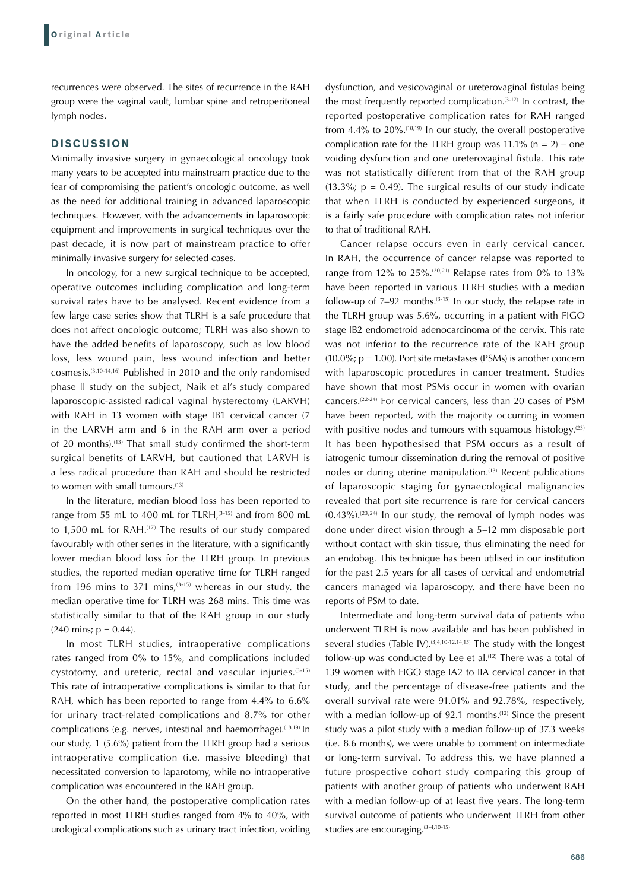recurrences were observed. The sites of recurrence in the RAH group were the vaginal vault, lumbar spine and retroperitoneal lymph nodes.

## **DISCUSSION**

Minimally invasive surgery in gynaecological oncology took many years to be accepted into mainstream practice due to the fear of compromising the patient's oncologic outcome, as well as the need for additional training in advanced laparoscopic techniques. However, with the advancements in laparoscopic equipment and improvements in surgical techniques over the past decade, it is now part of mainstream practice to offer minimally invasive surgery for selected cases.

In oncology, for a new surgical technique to be accepted, operative outcomes including complication and long-term survival rates have to be analysed. Recent evidence from a few large case series show that TLRH is a safe procedure that does not affect oncologic outcome; TLRH was also shown to have the added benefits of laparoscopy, such as low blood loss, less wound pain, less wound infection and better cosmesis.(3,10-14,16) Published in 2010 and the only randomised phase ll study on the subject, Naik et al's study compared laparoscopic-assisted radical vaginal hysterectomy (LARVH) with RAH in 13 women with stage IB1 cervical cancer (7 in the LARVH arm and 6 in the RAH arm over a period of 20 months).<sup>(13)</sup> That small study confirmed the short-term surgical benefits of LARVH, but cautioned that LARVH is a less radical procedure than RAH and should be restricted to women with small tumours.<sup>(13)</sup>

In the literature, median blood loss has been reported to range from 55 mL to 400 mL for TLRH, $(3-15)$  and from 800 mL to 1,500 mL for RAH.<sup>(17)</sup> The results of our study compared favourably with other series in the literature, with a significantly lower median blood loss for the TLRH group. In previous studies, the reported median operative time for TLRH ranged from 196 mins to 371 mins.<sup>(3-15)</sup> whereas in our study, the median operative time for TLRH was 268 mins. This time was statistically similar to that of the RAH group in our study  $(240 \text{ mins}; p = 0.44)$ .

In most TLRH studies, intraoperative complications rates ranged from 0% to 15%, and complications included cystotomy, and ureteric, rectal and vascular injuries.(3-15) This rate of intraoperative complications is similar to that for RAH, which has been reported to range from 4.4% to 6.6% for urinary tract-related complications and 8.7% for other complications (e.g. nerves, intestinal and haemorrhage).<sup>(18,19)</sup> In our study, 1 (5.6%) patient from the TLRH group had a serious intraoperative complication (i.e. massive bleeding) that necessitated conversion to laparotomy, while no intraoperative complication was encountered in the RAH group.

On the other hand, the postoperative complication rates reported in most TLRH studies ranged from 4% to 40%, with urological complications such as urinary tract infection, voiding

dysfunction, and vesicovaginal or ureterovaginal fistulas being the most frequently reported complication. $(3-17)$  In contrast, the reported postoperative complication rates for RAH ranged from 4.4% to  $20\%$ .<sup> $(18,19)$ </sup> In our study, the overall postoperative complication rate for the TLRH group was  $11.1\%$  (n = 2) – one voiding dysfunction and one ureterovaginal fistula. This rate was not statistically different from that of the RAH group  $(13.3\%; p = 0.49)$ . The surgical results of our study indicate that when TLRH is conducted by experienced surgeons, it is a fairly safe procedure with complication rates not inferior to that of traditional RAH.

Cancer relapse occurs even in early cervical cancer. In RAH, the occurrence of cancer relapse was reported to range from 12% to 25%.<sup>(20,21)</sup> Relapse rates from 0% to 13% have been reported in various TLRH studies with a median follow-up of  $7-92$  months.<sup>(3-15)</sup> In our study, the relapse rate in the TLRH group was 5.6%, occurring in a patient with FIGO stage IB2 endometroid adenocarcinoma of the cervix. This rate was not inferior to the recurrence rate of the RAH group  $(10.0\%; p = 1.00)$ . Port site metastases (PSMs) is another concern with laparoscopic procedures in cancer treatment. Studies have shown that most PSMs occur in women with ovarian cancers.(22-24) For cervical cancers, less than 20 cases of PSM have been reported, with the majority occurring in women with positive nodes and tumours with squamous histology. $(23)$ It has been hypothesised that PSM occurs as a result of iatrogenic tumour dissemination during the removal of positive nodes or during uterine manipulation.<sup>(13)</sup> Recent publications of laparoscopic staging for gynaecological malignancies revealed that port site recurrence is rare for cervical cancers  $(0.43\%).^{(23,24)}$  In our study, the removal of lymph nodes was done under direct vision through a 5–12 mm disposable port without contact with skin tissue, thus eliminating the need for an endobag. This technique has been utilised in our institution for the past 2.5 years for all cases of cervical and endometrial cancers managed via laparoscopy, and there have been no reports of PSM to date.

Intermediate and long-term survival data of patients who underwent TLRH is now available and has been published in several studies (Table IV).<sup> $(3,4,10-12,14,15)$ </sup> The study with the longest follow-up was conducted by Lee et al.<sup>(12)</sup> There was a total of 139 women with FIGO stage IA2 to IIA cervical cancer in that study, and the percentage of disease-free patients and the overall survival rate were 91.01% and 92.78%, respectively, with a median follow-up of 92.1 months.<sup>(12)</sup> Since the present study was a pilot study with a median follow-up of 37.3 weeks (i.e. 8.6 months), we were unable to comment on intermediate or long-term survival. To address this, we have planned a future prospective cohort study comparing this group of patients with another group of patients who underwent RAH with a median follow-up of at least five years. The long-term survival outcome of patients who underwent TLRH from other studies are encouraging.(3-4,10-15)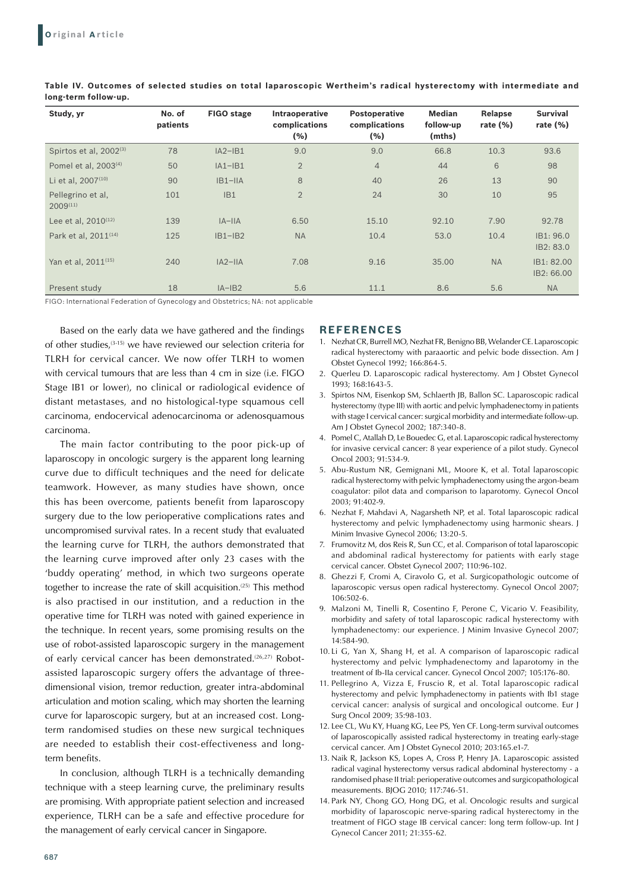| Study, yr                          | No. of<br>patients | FIGO stage | Intraoperative<br>complications<br>(%) | Postoperative<br>complications<br>(% ) | Median<br>follow-up<br>(mths) | Relapse<br>rate $(\%)$ | <b>Survival</b><br>rate $(\%)$ |
|------------------------------------|--------------------|------------|----------------------------------------|----------------------------------------|-------------------------------|------------------------|--------------------------------|
| Spirtos et al, 2002 <sup>(3)</sup> | 78                 | $IA2-IB1$  | 9.0                                    | 9.0                                    | 66.8                          | 10.3                   | 93.6                           |
| Pomel et al. 2003 <sup>(4)</sup>   | 50                 | $IA1-IB1$  | $\overline{2}$                         | $\overline{4}$                         | 44                            | 6                      | 98                             |
| Li et al, 2007 <sup>(10)</sup>     | 90                 | $IB1-IIA$  | 8                                      | 40                                     | 26                            | 13                     | 90                             |
| Pellegrino et al,<br>$2009^{(11)}$ | 101                | IB1        | $\overline{2}$                         | 24                                     | 30                            | 10                     | 95                             |
| Lee et al, $2010^{(12)}$           | 139                | $IA$ -IIA  | 6.50                                   | 15.10                                  | 92.10                         | 7.90                   | 92.78                          |
| Park et al, 2011 <sup>(14)</sup>   | 125                | $IB1-IB2$  | <b>NA</b>                              | 10.4                                   | 53.0                          | 10.4                   | IB1: 96.0<br>IB2: 83.0         |
| Yan et al. 2011 <sup>(15)</sup>    | 240                | $IA2-IIA$  | 7.08                                   | 9.16                                   | 35.00                         | <b>NA</b>              | IB1: 82.00<br>IB2: 66.00       |
| Present study                      | 18                 | $IA - IB2$ | 5.6                                    | 11.1                                   | 8.6                           | 5.6                    | <b>NA</b>                      |

**Table IV. Outcomes of selected studies on total laparoscopic Wertheim's radical hysterectomy with intermediate and long-term follow-up.** 

FIGO: International Federation of Gynecology and Obstetrics; NA: not applicable

Based on the early data we have gathered and the findings of other studies,(3-15) we have reviewed our selection criteria for TLRH for cervical cancer. We now offer TLRH to women with cervical tumours that are less than 4 cm in size (i.e. FIGO Stage IB1 or lower), no clinical or radiological evidence of distant metastases, and no histological-type squamous cell carcinoma, endocervical adenocarcinoma or adenosquamous carcinoma.

The main factor contributing to the poor pick-up of laparoscopy in oncologic surgery is the apparent long learning curve due to difficult techniques and the need for delicate teamwork. However, as many studies have shown, once this has been overcome, patients benefit from laparoscopy surgery due to the low perioperative complications rates and uncompromised survival rates. In a recent study that evaluated the learning curve for TLRH, the authors demonstrated that the learning curve improved after only 23 cases with the 'buddy operating' method, in which two surgeons operate together to increase the rate of skill acquisition.<sup>(25)</sup> This method is also practised in our institution, and a reduction in the operative time for TLRH was noted with gained experience in the technique. In recent years, some promising results on the use of robot-assisted laparoscopic surgery in the management of early cervical cancer has been demonstrated.<sup>(26,27)</sup> Robotassisted laparoscopic surgery offers the advantage of threedimensional vision, tremor reduction, greater intra-abdominal articulation and motion scaling, which may shorten the learning curve for laparoscopic surgery, but at an increased cost. Longterm randomised studies on these new surgical techniques are needed to establish their cost-effectiveness and longterm benefits.

In conclusion, although TLRH is a technically demanding technique with a steep learning curve, the preliminary results are promising. With appropriate patient selection and increased experience, TLRH can be a safe and effective procedure for the management of early cervical cancer in Singapore.

# **REFERENCES**

- 1. Nezhat CR, Burrell MO, Nezhat FR, Benigno BB, Welander CE. Laparoscopic radical hysterectomy with paraaortic and pelvic bode dissection. Am J Obstet Gynecol 1992; 166:864-5.
- 2. Querleu D. Laparoscopic radical hysterectomy. Am J Obstet Gynecol 1993; 168:1643-5.
- 3. Spirtos NM, Eisenkop SM, Schlaerth JB, Ballon SC. Laparoscopic radical hysterectomy (type III) with aortic and pelvic lymphadenectomy in patients with stage I cervical cancer: surgical morbidity and intermediate follow-up. Am J Obstet Gynecol 2002; 187:340-8.
- 4. Pomel C, Atallah D, Le Bouedec G, et al. Laparoscopic radical hysterectomy for invasive cervical cancer: 8 year experience of a pilot study. Gynecol Oncol 2003; 91:534-9.
- 5. Abu-Rustum NR, Gemignani ML, Moore K, et al. Total laparoscopic radical hysterectomy with pelvic lymphadenectomy using the argon-beam coagulator: pilot data and comparison to laparotomy. Gynecol Oncol 2003; 91:402-9.
- 6. Nezhat F, Mahdavi A, Nagarsheth NP, et al. Total laparoscopic radical hysterectomy and pelvic lymphadenectomy using harmonic shears. J Minim Invasive Gynecol 2006; 13:20-5.
- 7. Frumovitz M, dos Reis R, Sun CC, et al. Comparison of total laparoscopic and abdominal radical hysterectomy for patients with early stage cervical cancer. Obstet Gynecol 2007; 110:96-102.
- 8. Ghezzi F, Cromi A, Ciravolo G, et al. Surgicopathologic outcome of laparoscopic versus open radical hysterectomy. Gynecol Oncol 2007; 106:502-6.
- 9. Malzoni M, Tinelli R, Cosentino F, Perone C, Vicario V. Feasibility, morbidity and safety of total laparoscopic radical hysterectomy with lymphadenectomy: our experience. J Minim Invasive Gynecol 2007; 14:584-90.
- 10. Li G, Yan X, Shang H, et al. A comparison of laparoscopic radical hysterectomy and pelvic lymphadenectomy and laparotomy in the treatment of Ib-IIa cervical cancer. Gynecol Oncol 2007; 105:176-80.
- 11. Pellegrino A, Vizza E, Fruscio R, et al. Total laparoscopic radical hysterectomy and pelvic lymphadenectomy in patients with Ib1 stage cervical cancer: analysis of surgical and oncological outcome. Eur J Surg Oncol 2009; 35:98-103.
- 12. Lee CL, Wu KY, Huang KG, Lee PS, Yen CF. Long-term survival outcomes of laparoscopically assisted radical hysterectomy in treating early-stage cervical cancer. Am J Obstet Gynecol 2010; 203:165.e1-7.
- 13. Naik R, Jackson KS, Lopes A, Cross P, Henry JA. Laparoscopic assisted radical vaginal hysterectomy versus radical abdominal hysterectomy - a randomised phase II trial: perioperative outcomes and surgicopathological measurements. BJOG 2010; 117:746-51.
- 14. Park NY, Chong GO, Hong DG, et al. Oncologic results and surgical morbidity of laparoscopic nerve-sparing radical hysterectomy in the treatment of FIGO stage IB cervical cancer: long term follow-up. Int J Gynecol Cancer 2011; 21:355-62.